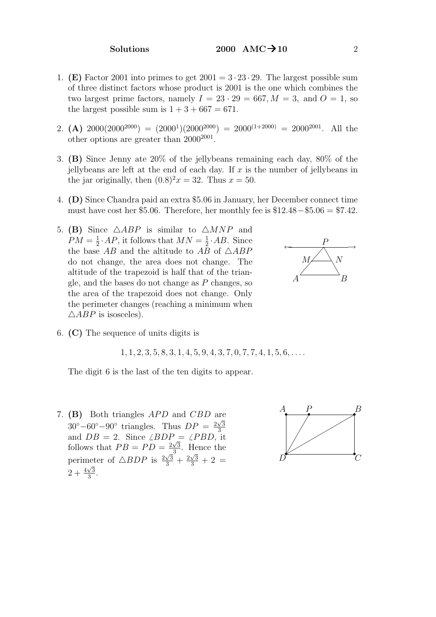- 1. (E) Factor 2001 into primes to get  $2001 = 3 \cdot 23 \cdot 29$ . The largest possible sum of three distinct factors whose product is 2001 is the one which combines the two largest prime factors, namely  $I = 23 \cdot 29 = 667, M = 3$ , and  $O = 1$ , so the largest possible sum is  $1 + 3 + 667 = 671$ .
- 2. (A)  $2000(2000^{2000}) = (2000^1)(2000^{2000}) = 2000^{(1+2000)} = 2000^{2001}$ . All the other options are greater than  $2000^{2001}$ .
- 3. (B) Since Jenny ate 20% of the jellybeans remaining each day, 80% of the jellybeans are left at the end of each day. If  $x$  is the number of jellybeans in the jar originally, then  $(0.8)^2x = 32$ . Thus  $x = 50$ .
- 4. (D) Since Chandra paid an extra \$5.06 in January, her December connect time must have cost her \$5.06. Therefore, her monthly fee is  $$12.48-\$5.06 = $7.42$ .
- 5. (B) Since  $\triangle ABP$  is similar to  $\triangle MNP$  and  $PM = \frac{1}{2}$  $\frac{1}{2}$  · AP, it follows that  $MN = \frac{1}{2}$  $\frac{1}{2}$ . AB. Since the base AB and the altitude to AB of  $\triangle AB$ do not change, the area does not change. The altitude of the trapezoid is half that of the triangle, and the bases do not change as  $P$  changes, so the area of the trapezoid does not change. Only the perimeter changes (reaching a minimum when  $\triangle ABP$  is isosceles).



6. (C) The sequence of units digits is

 $1, 1, 2, 3, 5, 8, 3, 1, 4, 5, 9, 4, 3, 7, 0, 7, 7, 4, 1, 5, 6, \ldots$ 

The digit 6 is the last of the ten digits to appear.

7. (B) Both triangles  $APD$  and  $CBD$  are  $30^{\circ} - 60^{\circ} - 90^{\circ}$  triangles. Thus  $DP = \frac{2\sqrt{3}}{3}$ and  $DB = 2$ . Since  $\angle BDP = \angle PBD$ , it follows that  $PB = PD = \frac{2\sqrt{3}}{3}$  $\frac{\sqrt{3}}{3}$ . Hence the perimeter of  $\triangle BDP$  is  $\frac{2\sqrt{3}}{3}$  $\frac{\sqrt{3}}{3} + \frac{2}{3}$ √ neter of  $\triangle BDP$  is  $\frac{2\sqrt{3}}{3} + \frac{2\sqrt{3}}{3} + 2 =$  $2 + \frac{4\sqrt{3}}{3}$  $\frac{\sqrt{3}}{3}$ .

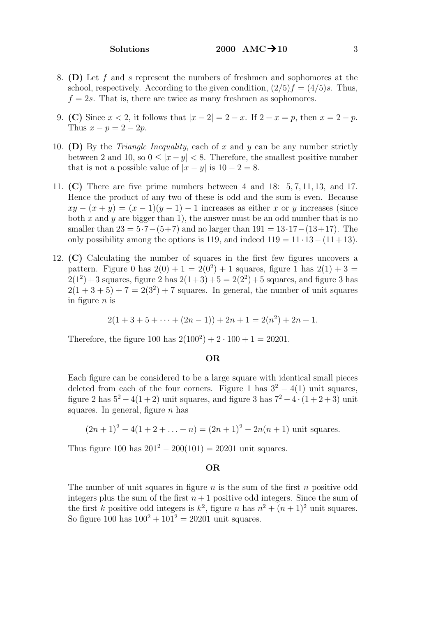- 8. (D) Let f and s represent the numbers of freshmen and sophomores at the school, respectively. According to the given condition,  $(2/5)f = (4/5)s$ . Thus,  $f = 2s$ . That is, there are twice as many freshmen as sophomores.
- 9. (C) Since  $x < 2$ , it follows that  $|x 2| = 2 x$ . If  $2 x = p$ , then  $x = 2 p$ . Thus  $x - p = 2 - 2p$ .
- 10. (D) By the *Triangle Inequality*, each of x and y can be any number strictly between 2 and 10, so  $0 \le |x - y| < 8$ . Therefore, the smallest positive number that is not a possible value of  $|x-y|$  is  $10-2=8$ .
- 11. (C) There are five prime numbers between 4 and 18: 5, 7, 11, 13, and 17. Hence the product of any two of these is odd and the sum is even. Because  $xy - (x + y) = (x - 1)(y - 1) - 1$  increases as either x or y increases (since both x and y are bigger than 1), the answer must be an odd number that is no smaller than  $23 = 5.7 - (5+7)$  and no larger than  $191 = 13.17 - (13+17)$ . The only possibility among the options is 119, and indeed  $119 = 11 \cdot 13 - (11 + 13)$ .
- 12. (C) Calculating the number of squares in the first few figures uncovers a pattern. Figure 0 has  $2(0) + 1 = 2(0^2) + 1$  squares, figure 1 has  $2(1) + 3 =$  $2(1^2) + 3$  squares, figure 2 has  $2(1+3) + 5 = 2(2^2) + 5$  squares, and figure 3 has  $2(1+3+5)+7=2(3^2)+7$  squares. In general, the number of unit squares in figure  $n$  is

$$
2(1+3+5+\cdots+(2n-1))+2n+1=2(n^2)+2n+1.
$$

Therefore, the figure 100 has  $2(100^2) + 2 \cdot 100 + 1 = 20201$ .

# OR

Each figure can be considered to be a large square with identical small pieces deleted from each of the four corners. Figure 1 has  $3^2 - 4(1)$  unit squares, figure 2 has  $5^2 - 4(1+2)$  unit squares, and figure 3 has  $7^2 - 4 \cdot (1+2+3)$  unit squares. In general, figure  $n$  has

$$
(2n+1)^2 - 4(1+2+\ldots+n) = (2n+1)^2 - 2n(n+1)
$$
 unit squares.

Thus figure 100 has  $201^2 - 200(101) = 20201$  unit squares.

## OR

The number of unit squares in figure  $n$  is the sum of the first  $n$  positive odd integers plus the sum of the first  $n+1$  positive odd integers. Since the sum of the first k positive odd integers is  $k^2$ , figure n has  $n^2 + (n+1)^2$  unit squares. So figure 100 has  $100^2 + 101^2 = 20201$  unit squares.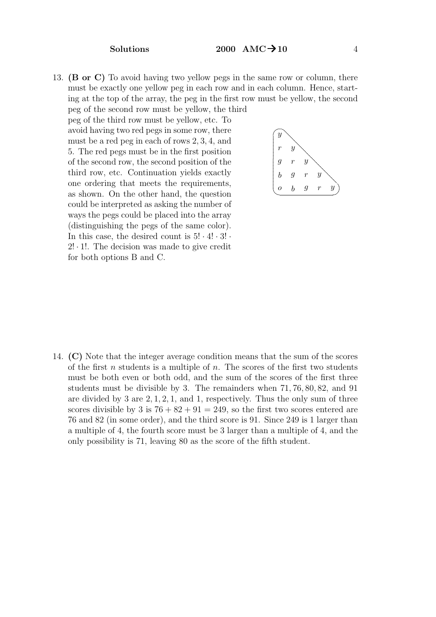13. (B or C) To avoid having two yellow pegs in the same row or column, there must be exactly one yellow peg in each row and in each column. Hence, starting at the top of the array, the peg in the first row must be yellow, the second peg of the second row must be yellow, the third

peg of the third row must be yellow, etc. To avoid having two red pegs in some row, there must be a red peg in each of rows 2, 3, 4, and 5. The red pegs must be in the first position of the second row, the second position of the third row, etc. Continuation yields exactly one ordering that meets the requirements, as shown. On the other hand, the question could be interpreted as asking the number of ways the pegs could be placed into the array (distinguishing the pegs of the same color). In this case, the desired count is  $5! \cdot 4! \cdot 3!$ .  $2! \cdot 1!$ . The decision was made to give credit for both options B and C.



14. (C) Note that the integer average condition means that the sum of the scores of the first n students is a multiple of n. The scores of the first two students must be both even or both odd, and the sum of the scores of the first three students must be divisible by 3. The remainders when 71, 76, 80, 82, and 91 are divided by 3 are 2, 1, 2, 1, and 1, respectively. Thus the only sum of three scores divisible by 3 is  $76 + 82 + 91 = 249$ , so the first two scores entered are 76 and 82 (in some order), and the third score is 91. Since 249 is 1 larger than a multiple of 4, the fourth score must be 3 larger than a multiple of 4, and the only possibility is 71, leaving 80 as the score of the fifth student.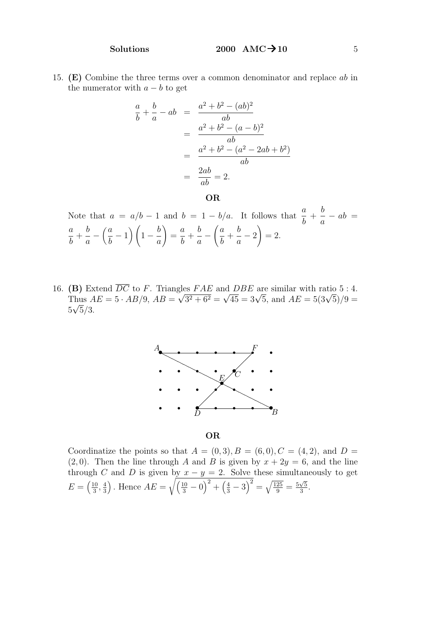15. (E) Combine the three terms over a common denominator and replace ab in the numerator with  $a - b$  to get

$$
\frac{a}{b} + \frac{b}{a} - ab = \frac{a^2 + b^2 - (ab)^2}{ab} \n= \frac{a^2 + b^2 - (a - b)^2}{ab} \n= \frac{a^2 + b^2 - (a^2 - 2ab + b^2)}{ab} \n= \frac{2ab}{ab} = 2.
$$

OR

Note that  $a = a/b - 1$  and  $b = 1 - b/a$ . It follows that  $\frac{a}{b}$ b  $+$ b a  $-\,ab =$ a b  $+$ b a  $\binom{a}{a}$ b  $\left(1-\frac{b}{2}\right)$ a  $\setminus$ = a b  $+$ b a  $-\left(\frac{a}{a}\right)$ b  $+$ b a  $\left( -2\right)$  $= 2.$ 

16. (B) Extend  $\overline{DC}$  to F. Triangles FAE and DBE are similar with ratio 5 : 4. Thus  $AE = 5 \cdot AB/9$ ,  $AB =$  $\frac{1}{2}$  $3^2 + 6^2 =$ **B**) Extend *DC* to *F*. Triangles  $FAE$  and *DBE* are similar with ratio 5 : 4.<br>
Thus  $AE = 5 \cdot AB/9$ ,  $AB = \sqrt{3^2 + 6^2} = \sqrt{45} = 3\sqrt{5}$ , and  $AE = 5(3\sqrt{5})/9 =$  $5\sqrt{5}/3$ .



OR

Coordinatize the points so that  $A = (0,3), B = (6,0), C = (4,2),$  and  $D =$  $(2, 0)$ . Then the line through A and B is given by  $x + 2y = 6$ , and the line through C and D is given by  $x - y = 2$ . Solve these simultaneously to get  $E = \left(\frac{10}{3}\right)$  $\frac{10}{3}, \frac{4}{3}$  $\left(\frac{4}{3}\right)$ . Hence  $AE = \sqrt{\left(\frac{10}{3} - 0\right)^2 + \left(\frac{4}{3} - 3\right)^2} = \sqrt{\frac{125}{9}} = \frac{5}{9}$  $\overline{5}$  $\frac{\sqrt{5}}{3}$ .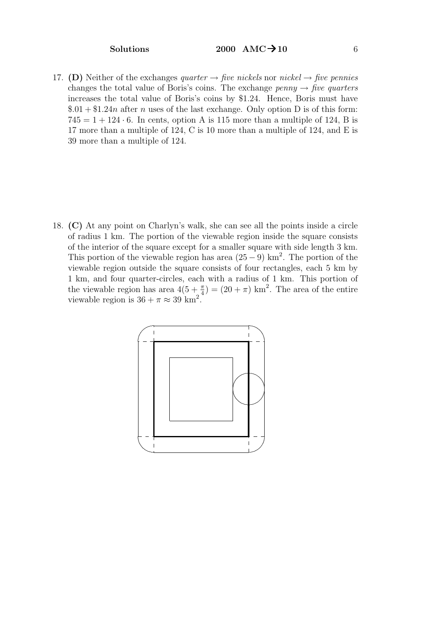17. (D) Neither of the exchanges quarter  $\rightarrow$  five nickels nor nickel  $\rightarrow$  five pennies changes the total value of Boris's coins. The exchange  $penny \rightarrow five \ quarters$ increases the total value of Boris's coins by \$1.24. Hence, Boris must have  $$.01 + $1.24n$$  after n uses of the last exchange. Only option D is of this form:  $745 = 1 + 124 \cdot 6$ . In cents, option A is 115 more than a multiple of 124, B is 17 more than a multiple of 124, C is 10 more than a multiple of 124, and E is 39 more than a multiple of 124.

18. (C) At any point on Charlyn's walk, she can see all the points inside a circle of radius 1 km. The portion of the viewable region inside the square consists of the interior of the square except for a smaller square with side length 3 km. This portion of the viewable region has area  $(25-9)$  km<sup>2</sup>. The portion of the viewable region outside the square consists of four rectangles, each 5 km by 1 km, and four quarter-circles, each with a radius of 1 km. This portion of the viewable region has area  $4(5+\frac{\pi}{4}) = (20+\pi) \text{ km}^2$ . The area of the entire viewable region is  $36 + \pi \approx 39$  km<sup>2</sup>.

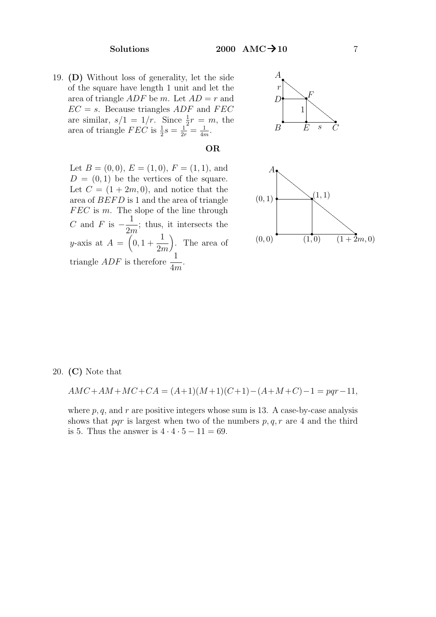19. (D) Without loss of generality, let the side of the square have length 1 unit and let the area of triangle  $ADF$  be m. Let  $AD = r$  and  $EC = s$ . Because triangles ADF and FEC are similar,  $s/1 = 1/r$ . Since  $\frac{1}{2}r = m$ , the area of triangle  $FEC$  is  $\frac{1}{2}s = \frac{1}{2r} = \frac{1}{4r}$  $\frac{1}{4m}$ .



### $\overrightarrow{(1+2m,0)}$ .... .... .... .... .... ....  $\overline{\phantom{0}}$ .... .... .... .... .... .... .... .... .... .... .... .... .... .... .... .... .... .... .... .... .... .... .... .... .... .... ....  $(1,1)$ .... .... ....  $\overline{\phantom{0}}$ .... ....  $\overline{\phantom{0}}$ .... .... .... .... .... .... .... .... .... .... .... .... .... .... .... .... .... .... .... .... .... .... ....  $\overline{A}$ •  $(0,0)$   $(1,0)$   $(1+2)$  $(0, 1)$ •

Let  $B = (0, 0), E = (1, 0), F = (1, 1),$  and  $D = (0, 1)$  be the vertices of the square. Let  $C = (1 + 2m, 0)$ , and notice that the area of  $BEFD$  is 1 and the area of triangle  $FEC$  is m. The slope of the line through C and F is  $-\frac{1}{2}$  $2m$ ; thus, it intersects the y-axis at  $A = \begin{pmatrix} 0, 1 + \end{pmatrix}$ 1 2m . The area of triangle *ADF* is therefore  $\frac{1}{4}$ 4m .

20. (C) Note that

$$
AMC + AM + MC + CA = (A+1)(M+1)(C+1) - (A+M+C) - 1 = pqr - 11,
$$

OR

where  $p, q$ , and  $r$  are positive integers whose sum is 13. A case-by-case analysis shows that pqr is largest when two of the numbers  $p, q, r$  are 4 and the third is 5. Thus the answer is  $4 \cdot 4 \cdot 5 - 11 = 69$ .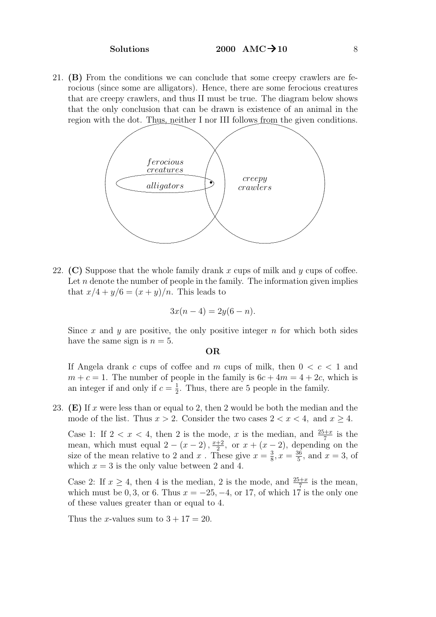21. (B) From the conditions we can conclude that some creepy crawlers are ferocious (since some are alligators). Hence, there are some ferocious creatures that are creepy crawlers, and thus II must be true. The diagram below shows that the only conclusion that can be drawn is existence of an animal in the region with the dot. Thus, neither I nor III follows from the given conditions.



22. (C) Suppose that the whole family drank x cups of milk and  $\gamma$  cups of coffee. Let  $n$  denote the number of people in the family. The information given implies that  $x/4 + y/6 = (x + y)/n$ . This leads to

$$
3x(n-4) = 2y(6-n).
$$

Since x and y are positive, the only positive integer n for which both sides have the same sign is  $n = 5$ .

### OR

If Angela drank c cups of coffee and m cups of milk, then  $0 < c < 1$  and  $m + c = 1$ . The number of people in the family is  $6c + 4m = 4 + 2c$ , which is an integer if and only if  $c = \frac{1}{2}$  $\frac{1}{2}$ . Thus, there are 5 people in the family.

23. (E) If x were less than or equal to 2, then 2 would be both the median and the mode of the list. Thus  $x > 2$ . Consider the two cases  $2 < x < 4$ , and  $x \ge 4$ .

Case 1: If  $2 < x < 4$ , then 2 is the mode, x is the median, and  $\frac{25+x}{7}$  is the mean, which must equal  $2 - (x - 2), \frac{x+2}{2}$  $\frac{+2}{2}$ , or  $x + (x - 2)$ , depending on the size of the mean relative to 2 and x. These give  $x=\frac{3}{8}$  $\frac{3}{8}$ ,  $x = \frac{36}{5}$  $\frac{36}{5}$ , and  $x = 3$ , of which  $x = 3$  is the only value between 2 and 4.

Case 2: If  $x \ge 4$ , then 4 is the median, 2 is the mode, and  $\frac{25+x}{7}$  is the mean, which must be 0, 3, or 6. Thus  $x = -25, -4$ , or 17, of which 17 is the only one of these values greater than or equal to 4.

Thus the *x*-values sum to  $3 + 17 = 20$ .